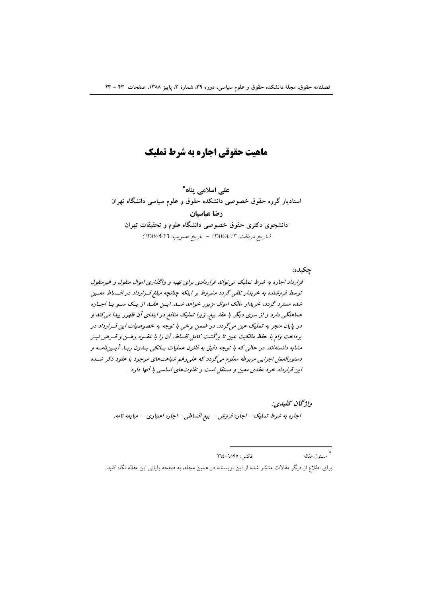# ماهیت حقوقی اجاره به شرط تملیک

علے اسلامے پناہ\* استادیار گروه حقوق خصوصی دانشکده حقوق و علوم سیاسی دانشگاه تهران رضا عباسيان دانشجوی دکتری حقوق خصوصی دانشگاه علوم و تحقیقات تهران (تاريخ دريافت: ١٣٨٧/٨/١٣ - تاريخ تصويب: ١٣٨٧/٩/٢٦)

قرارداد اجاره به شرط تملیک می تواند قراردادی برای تهیه و واگذاری اموال منقول و غیرمنقول توسط فروشنده به خریدار تلقی گردد مشروط بر اینکه چنانچه مبلغ قسرارداد در اقسساط معسین شده مسترد گردد، خریدار مالک اموال مزبور خواهد شـد. ایـن عقـد از یـک سـو بـا اجـاره هماهنگی دارد و از سوی دیگر با عقد بیع، زیرا تملیک منافع در ابتدای آن ظهور پیدا میکند و در پایان منجر به تملیک عین میگردد. در ضمن برخی با توجه به خصوصیات این قــرارداد در پرداخت وام با حفظ مالکیت عین تا برگشت کامل اقساط، آن را با عقسود رهسن و قسرض نیسز مشابه دانستهاند. در حالي كه با توجه دقيق به قانون عمليات بسانكي بسدون ربيا، آيسين نامسه و دستورالعمل اجرایی مربوطه معلوم میگردد که علی رغم شباهتهای موجود با عقود ذکر شـله این قرارداد خود عقدی معین و مستقل است و تفاوتهای اساسی با آنها دارد.

> واژىخان كىلىدى: اجاره به شرط تملیک - اجاره فروش - بیع اقساطی - اجاره اعتباری - مبایعه نامه.

> > مسئول مقاله فاكس: ٩٥٩٥: ٦٦٤

چکيده:

برای اطلاع از دیگر مقالات منتشر شده از این نویسنده در همین مجله، به صفحه پایانی این مقاله نگاه کنید.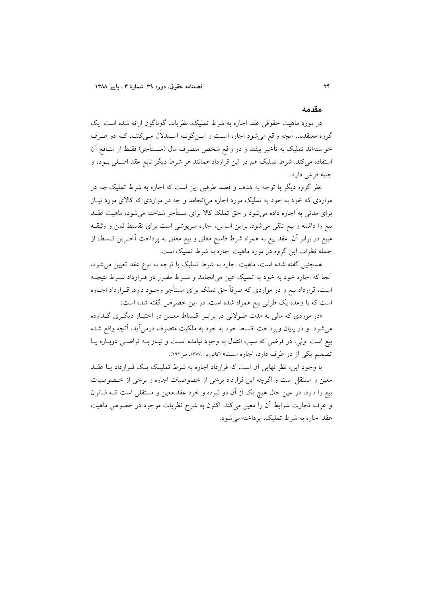#### مقدمه

در مورد ماهیت حقوقی عقد اجاره به شرط تملیک، نظریات گوناگون ارائه شده است. یک گروه معتقدند، آنچه واقع می شود اجاره است و این گونـه اسـتدلال مـی کننـد کـه دو طـرف خواستهاند تملیک به تأخیر بیفتد و در واقع شخص متصرف مال (مـستأجر) فقـط از منـافع آن استفاده می کند. شرط تملیک هم در این قرارداد همانند هر شرط دیگر تابع عقد اصلی بـوده و جنبه فرعي دارد.

نظر گروه دیگر با توجه به هدف و قصد طرفین این است که اجاره به شرط تملیک چه در مواردی که خود به خود به تملیک مورد اجاره می انجامد و چه در مواردی که کالای مورد نیـاز برای مدتی به اجاره داده می شود و حق تملک کالا برای مستأجر شناخته می شود، ماهیت عقــد بیع را داشته و بیع تلقی میشود. براین اساس، اجاره سرپوشی است برای تقسیط ثمن و وثیقـه مبيع در برابر آن. عقد بيع به همراه شرط فاسخ معلق و بيع معلق به پرداخت آخـرين قــسط، از جمله نظرات این گروه در مورد ماهیت اجاره به شرط تملیک است.

همچنین گفته شده است، ماهیت اجاره به شرط تملیک با توجه به نوع عقد تعیین می شود، آنجا که اجاره خود به خود به تملیک عین می|نجامد و شـرط مقـرر در قـرارداد شـرط نتیجـه است، قرارداد بیع و در مواردی که صرفاً حق تملک برای مستأجر وجـود دارد، قــرارداد اجــاره است که با وعده یک طرفی بیع همراه شده است. در این خصوص گفته شده است:

«در موردی که مال<sub>ی</sub> به مدت طـولانی در برابـر اقـساط معـین در اختیـار دیگـری گـذارده می شود ً و در پایان وپرداخت اقساط خود به خود به ملکیت متصرف درمی آید، آنچه واقع شده بیع است. ولی، در فرضی که سبب انتقال به وجود نیامده است و نیـاز بـه تراضـی دوبـاره یـا تصمیم یکی از دو طرف دارد، اجاره است» (کاتوزیان،۱۳۷۷، ص۲۹۲).

با وجود این، نظر نهایی آن است که قرارداد اجاره به شرط تملیک یک قـرارداد یـا عقـد معین و مستقل است و اگرچه این قرارداد برخی از خصوصیات اجاره و برخی از خـصوصیات بیع را دارد، در عین حال هیچ یک از آن دو نبوده و خود عقد معین و مستقلی است کـه قــانون و عرف تجارت شرایط آن را معین میکند. اکنون به شرح نظریات موجود در خصوص ماهیت عقد اجاره به شرط تملیک، پرداخته می شود.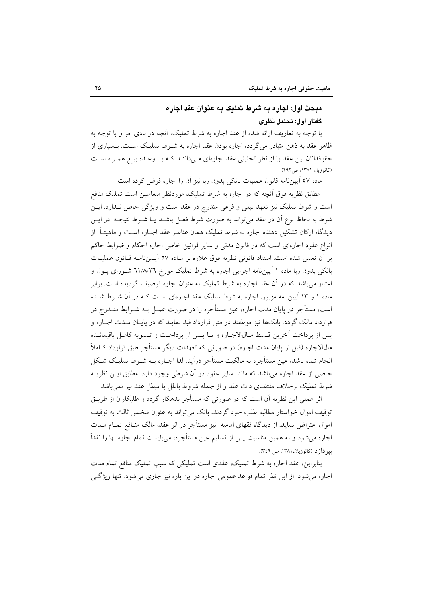## مدحث اول: اجار ه به شرط تملیک به عنوان عقد اجار ه گفتار اول: تحلیل نظری

با توجه به تعاریف ارائه شده از عقد اجاره به شرط تملیک، آنچه در بادی امر و با توجه به ظاهر عقد به ذهن متبادر می گردد، اجاره بودن عقد اجاره به شـرط تملیـک اسـت. بــسیاری از حقوقدانان این عقد را از نظر تحلیلی عقد اجارهای میدانند کـه بـا وعـده بیـع همـراه اسـت (کاتوزیان، ۱۳۸۱، ص ۲۹۲).

ماده ٥٧ آيينiامه قانون عمليات بانكي بدون ربا نيز آن را اجاره فرض كرده است.

مطابق نظریه فوق آنچه که در اجاره به شرط تملیک، موردنظر متعاملین است تملیک منافع است و شرط تملیک نیز تعهد تبعی و فرعی مندرج در عقد است و ویژگی خاص نـدارد. ایـن شرط به لحاظ نوع آن در عقد می تواند به صورت شرط فعـل باشــد یــا شــرط نتیجــه. در ایــن دیدگاه ارکان تشکیل دهنده اجاره به شرط تملیک همان عناصر عقد اجــاره اســت و ماهیتــاً از انواع عقود اجارهای است که در قانون مدنی و سایر قوانین خاص اجاره احکام و ضوابط حاکم بر أن تعيين شده است. استناد قانوني نظريه فوق علاوه بر مـاده ٥٧ أيـينiامـه قـانون عمليـات بانکی بدون ربا ماده ۱ آیینiامه اجرایی اجاره به شرط تملیک مورخ ٦١/٨/٢٦ شـورای پـول و اعتبار می باشد که در آن عقد اجاره به شرط تملیک به عنوان اجاره توصیف گردیده است. برابر ماده ۱ و ۱۳ آیین نامه مزبور، اجاره به شرط تملیک عقد اجارهای است کـه در آن شــرط شــده است، مستأجر در پایان مدت اجاره، عین مستأجره را در صورت عمـل بـه شــرایط منــدرج در قرارداد مالک گردد. بانکها نیز موظفند در متن قرارداد قید نمایند که در پایـان مــدت اجــاره و يس از يرداخت آخرين قـسط مـالالاجـاره و يـا پـس از پرداخـت و تـسويه كامـل باقيمانــده مالالاجاره (قبل از پایان مدت اجاره) در صورتی که تعهدات دیگر مستأجر طبق قرارداد کــاملاً انجام شده باشد، عین مستأجره به مالکیت مستأجر درآید. لذا اجـاره بــه شــرط تملیـک شــکل خاصی از عقد اجاره میباشد که مانند سایر عقود در آن شرطی وجود دارد. مطابق ایــن نظریــه شرط تمليک برخلاف مقتضاي ذات عقد و از جمله شروط باطل يا مبطل عقد نيز نمي باشد.

اثر عملی این نظریه آن است که در صورتی که مستأجر بدهکار گردد و طلبکاران از طریـق توقیف اموال خواستار مطالبه طلب خود گردند، بانک میتواند به عنوان شخص ثالث به توقیف اموال اعتراض نماید. از دیدگاه فقهای امامیه نیز مستأجر در اثر عقد، مالک منـافع تمــام مــدت اجاره می شود و به همین مناسبت پس از تسلیم عین مستأجره، میبایست تمام اجاره بها را نقداً بير دازد (كاتوزيان، ١٣٨١، ص ٣٤٩).

بنابراین، عقد اجاره به شرط تملیک، عقدی است تملیکی که سبب تملیک منافع تمام مدت اجاره می شود. از این نظر تمام قواعد عمومی اجاره در این باره نیز جاری می شود. تنها ویژگی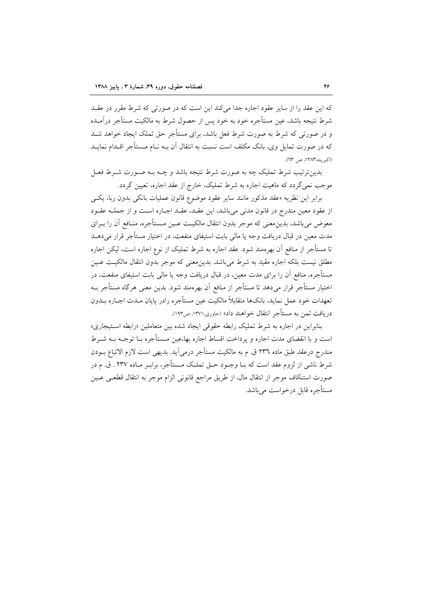که این عقد را از سایر عقود اجاره جدا می کند این است که در صورتی که شرط مقرر در عقــد شرط نتیجه باشد، عین مستأجره خود به خود پس از حصول شرط به مالکیت مستأجر درآمـده و در صورتی که شرط به صورت شرط فعل باشد، برای مستأجر حق تملک ایجاد خواهد شــد که در صورت تمایل وی، بانک مکلف است نسبت به انتقال آن بـه نـام مـستأجر اقــدام نمایــد (اکبرینه،١٣٨٣، ص ٦٣).

بدین ترتیب شرط تملیک چه به صورت شرط نتیجه باشد و چـه بـه صـورت شـرط فعـل موجب نمی گردد که ماهیت اجاره به شرط تملیک، خارج از عقد اجاره، تعیین گردد.

برابر اين نظريه «عقد مذكور مانند ساير عقود موضوع قانون عمليات بانكي بدون ربا، يكبي از عقود معین مندرج در قانون مدنی میباشد، این عقـد، عقـد اجـاره اسـت و از جملـه عقـود معوض می باشد، بدین معنی که موجر بدون انتقال مالکیت عـین مـستأجره، منـافع آن را بــرای مدت معین در قبال دریافت وجه یا مالی بابت استیفای منفعت، در اختیار مستأجر قرار می۵دهــد تا مستأجر از منافع آن بهرهمند شود. عقد اجاره به شرط تملیک از نوع اجاره است، لیکن اجاره مطلق نیست بلکه اجاره مقید به شرط میباشد. بدین معنی که موجر بدون انتقال مالکیت عـین مستأجره، منافع آن را برای مدت معین، در قبال دریافت وجه یا مالی بابت استیفای منفعت، در اختیار مستأجر قرار میدهد تا مستأجر از منافع آن بهرهمند شود. بدین معنی هرگاه مستأجر بــه تعهدات خود عمل نمايد، بانكها متقابلاً مالكيت عين مستأجره رادر يايان مــدت اجــاره بــدون دریافت ثمن به مستأجر انتقال خواهند داد» (حاوری،۱۳۷۱، ص۱۹۳).

بنابراین در اجاره به شرط تملیک رابطه حقوقی ایجاد شده بین متعاملین «رابطه استیجاری» است و با انقضای مدت اجاره و پرداخت اقساط اجاره بها،عین مـستأجره بــا توجــه بــه شــرط مندرج درعقد طبق ماده ٢٣٦ ق. م به مالكيت مستأجر درمي[يد. بديهي است لازم الاتباع بــودن شرط ناشی از لزوم عقد است که بــا وجــود حــق تملــک مــستأجر، برابــر مــاده ۲۳۷ . ق. م در صورت استنكاف موجر از انتقال مال، از طريق مراجع قانوني الزام موجر به انتقال قطعـي عـين مستأجره قابل درخواست مي باشد.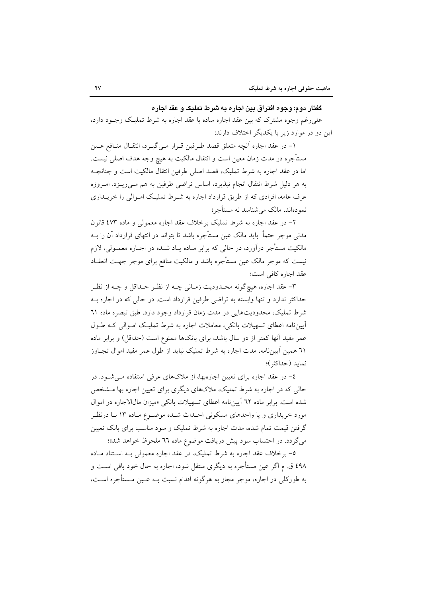### گفتار دوم: وجوه افتراق بین اجاره به شرط تملیک و عقد اجاره

علی رغم وجوه مشترک که بین عقد اجاره ساده با عقد اجاره به شرط تملیک وجـود دارد، این دو در موارد زیر با یکدیگر اختلاف دارند:

۱– در عقد اجاره آنچه متعلق قصد طـرفين قـرار مـيگيـرد، انتقـال منـافع عـين مستأجره در مدت زمان معین است و انتقال مالکیت به هیچ وجه هدف اصلی نیست. اما در عقد اجاره به شرط تمليک، قصد اصلي طرفين انتقال مالکيت است و چنانچـه به هر دلیل شرط انتقال انجام نیذیرد، اساس تراضی طرفین به هم مـی ریـزد. امـروزه عرف عامه، افرادی که از طریق قرارداد اجاره به شـرط تملیـک امـوالی را خریــداری نمودهاند، مالک می شناسد نه مستأجر؛

۲– در عقد اجاره به شرط تملیک برخلاف عقد اجاره معمولی و ماده ٤٧٣ قانون مدنی موجر حتماً باید مالک عین مستأجره باشد تا بتواند در انتهای قرارداد آن را بــه مالکیت مستأجر درآورد، در حالی که برابر مـاده پـاد شــده در اجــاره معمــولی، لازم نیست که موجر مالک عین مستأجره باشد و مالکیت منافع برای موجر جهــت انعقــاد عقد اجاره كافي است؛

٣- عقد اجاره، هيچگونه محـدوديت زمـاني چــه از نظـر حــداقل و چــه از نظـر حداکثر ندارد و تنها وابسته به تراضی طرفین قرارداد است. در حالی که در اجاره بـه شرط تملیک، محدودیتهایی در مدت زمان قرارداد وجود دارد. طبق تبصره ماده ٦١ آیین نامه اعطای تسهیلات بانکی، معاملات اجاره به شرط تملیک امـوالی کـه طـول عمر مفید آنها کمتر از دو سال باشد، برای بانکها ممنوع است (حداقل) و برابر ماده ٦١ همین آییننامه، مدت اجاره به شرط تملیک نباید از طول عمر مفید اموال تجـاوز نمايد (حداكثر)؛

٤– در عقد اجاره براي تعيين اجارهبها، از ملاکهاي عرفي استفاده مـي شـود. در حالی که در اجاره به شرط تملیک، ملاکهای دیگری برای تعیین اجاره بها مـشخص شده است. برابر ماده ٦٢ آيينiامه اعطاي تسهيلات بانكي «ميزان مالالاجاره در اموال مورد خریداری و یا واحدهای مسکونی احـداث شـده موضـوع مـاده ۱۳ بـا درنظـر گرفتن قیمت تمام شده، مدت اجاره به شرط تملیک و سود مناسب برای بانک تعیین می گردد. در احتساب سود پیش دریافت موضوع ماده ٦٦ ملحوظ خواهد شد»؛

٥– برخلاف عقد اجاره به شرط تمليک، در عقد اجاره معمولي بـه اسـتناد مــاده ٤٩٨ ق. م اگر عين مستأجره به ديگري منتقل شود، اجاره به حال خود باقي اسـت و به طورکلی در اجاره، موجر مجاز به هرگونه اقدام نسبت بـه عـین مـستأجره اسـت،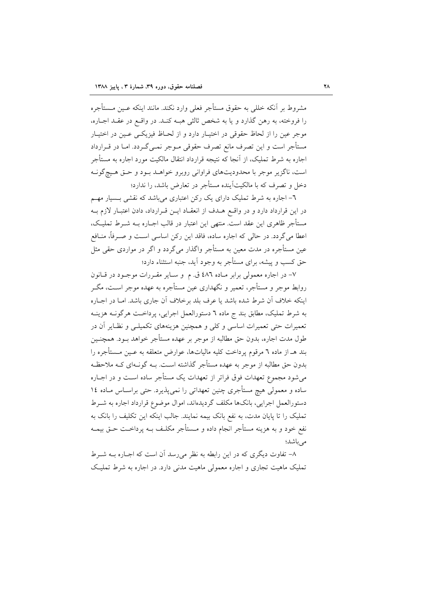مشروط بر أنكه خللي به حقوق مستأجر فعلى وارد نكند. مانند اينكه عـين مـستأجره را فروخته، به رهن گذارد و یا به شخص ثالثی هبـه کنـد. در واقـع در عقـد اجـاره، موجر عين را از لحاظ حقوقي در اختيـار دارد و از لحـاظ فيزيكـي عـين در اختيـار مستأجر است و این تصرف مانع تصرف حقوقی مـوجر نمـی گـردد. امـا در قـرارداد اجاره به شرط تملیک، از آنجا که نتیجه قرارداد انتقال مالکیت مورد اجاره به مستأجر است، ناگزیر موجر با محدودیتهای فراوانی روبرو خواهـد بـود و حـق هـیچگونـه دخل و تصرف که با مالکیتآینده مستأجر در تعارض باشد، را ندارد؛

٦– اجاره به شرط تملیک دارای یک رکن اعتباری میباشد که نقشی بــسیار مهــم در این قرارداد دارد و در واقسع هـدف از انعقـاد ایــن قــرارداد، دادن اعتبــار لازم بــه مستأجر ظاهري اين عقد است. منتهي اين اعتبار در قالب اجـاره بــه شــرط تمليـك، اعطا می گردد. در حالی که اجاره ساده، فاقد این رکن اساسی است و صـرفاً، منــافع عین مستأجره در مدت معین به مستأجر واگذار میگردد و اگر در مواردی حقی مثل حق کسب و پیشه، برای مستأجر به وجود آید، جنبه استثناء دارد؛

٧- در اجاره معمولي برابر مـاده ٤٨٦ ق. م و سـاير مقـررات موجـود در قـانون روابط موجر و مستأجر، تعمیر و نگهداری عین مستأجره به عهده موجر اسـت، مگــر اینکه خلاف آن شرط شده باشد یا عرف بلد برخلاف آن جاری باشد. امـا در اجــاره به شرط تملیک، مطابق بند ج ماده ٦ دستورالعمل اجرایی، پرداخت هرگونـه هزینـه .<br>تعمیرات حتی تعمیرات اساسی و کلی و همچنین هزینههای تکمیلــی و نظــایر آن در طول مدت اجاره، بدون حق مطالبه از موجر بر عهده مستأجر خواهد بــود. همچنــين بند هـ از ماده ٦ مرقوم پرداخت کلیه مالیاتها، عوارض متعلقه به عـین مــستأجره را بدون حق مطالبه از موجر به عهده مستأجر گذاشته اسـت. بــه گونــهای کــه ملاحظـه می شود مجموع تعهدات فوق فراتر از تعهدات یک مستأجر ساده اسـت و در اجــاره ساده و معمولی هیچ مستأجری چنین تعهداتی را نمیپذیرد. حتی براسـاس مـاده ١٤ دستورالعمل اجرايي، بانكها مكلف گرديدهاند، اموال موضوع قرارداد اجاره به شـرط تملیک را تا پایان مدت، به نفع بانک بیمه نمایند. جالب اینکه این تکلیف را بانک به نفع خود و به هزینه مستأجر انجام داده و مــستأجر مکلـف بــه پرداخــت حــق بیمــه مر باشد؛

۸– تفاوت دیگری که در این رابطه به نظر می رسد آن است که اجـاره بــه شــرط تملیک ماهیت تجاری و اجاره معمولی ماهیت مدنی دارد. در اجاره به شرط تملیک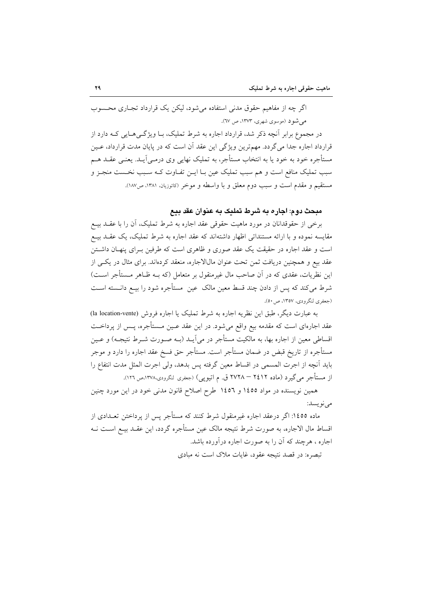اگر چه از مفاهیم حقوق مدنی استفاده می شود، لیکن یک قرارداد تجباری محسوب می شو د (موسوی شهری، ۱۳۷۳، ص ٦۷).

در مجموع برابر آنچه ذکر شد، قرارداد اجاره به شرط تملیک، بــا ویژگــی هــایـی کــه دارد از قرارداد اجاره جدا می گردد. مهمترین ویژگی این عقد آن است که در پایان مدت قرارداد، عـین مستأجره خود به خود یا به انتخاب مستأجر، به تملیک نهایی وی درمـی]یــد. یعنــی عقــد هــم سبب تملیک منافع است و هم سبب تملیک عین بـا ایــن تفــاوت کــه ســبب نخــست منجــز و مستقيم و مقدم است و سبب دوم معلق و با واسطه و موخر (كاتوزيان، ١٣٨١، ص١٨٧.

#### مبحث دوم: اجاره به شرط تملیک به عنوان عقد بیع

برخی از حقوقدانان در مورد ماهیت حقوقی عقد اجاره به شرط تملیک، أن را با عقــد بیــع مقایسه نموده و با ارائه مستنداتی اظهار داشتهاند که عقد اجاره به شرط تملیک، یک عقــد بیــع است و عقد اجاره در حقیقت یک عقد صوری و ظاهری است که طرفین بـرای پنهـان داشـتن عقد بيع و همچنين دريافت ثمن تحت عنوان مالالاجاره، منعقد كردهاند. براي مثال در يكبي از این نظریات، عقدی که در اَن صاحب مال غیرمنقول بر متعامل (که بــه ظــاهر مــستأجر اســت) شرط میکند که پس از دادن چند قسط معین مالک عین ۖ مستأجره شود را بیــع دانــسته اســت (جعفري لنگرودي، ۱۳۵۷، ص۱۰).

به عبارت دیگر، طبق این نظریه اجاره به شرط تملیک یا اجاره فروش (la location-vente) عقد اجارهای است که مقدمه بیع واقع میشود. در این عقد عـین مـستأجره، پــس از پرداخــت اقساطی معین از اجاره بها، به مالکیت مستأجر در می آیــد (بــه صــورت شــرط نتیجــه) و عــین مستأجره از تاريخ قبض در ضمان مستأجر است. مستأجر حق فسخ عقد اجاره را دارد و موجر بايد آنچه از اجرت المسمى در اقساط معين گرفته پس بدهد، ولى اجرت المثل مدت انتفاع را از مستأجر می گیرد (ماده ۲٤۱۲ – ۲۷۲۸ ق. م اتیویی) (جعفری لنگرودی،۱۳۷۸،ص ۱۲۲).

همین نویسنده در مواد ۱٤٥٥ و ١٤٥٦ طرح اصلاح قانون مدنی خود در این مورد چنین می نو پسد:

ماده ١٤٥٥: اگر درعقد اجاره غيرمنقول شرط كنند كه مستأجر يس از يرداختن تعــدادي از اقساط مال الاجاره، به صورت شرط نتیجه مالک عین مستأجره گردد، این عقــد بیــع اســت نــه اجاره ، هرچند که آن را به صورت اجاره درآورده باشد.

تبصره: در قصد نتیجه عقود، غایات ملاک است نه میادی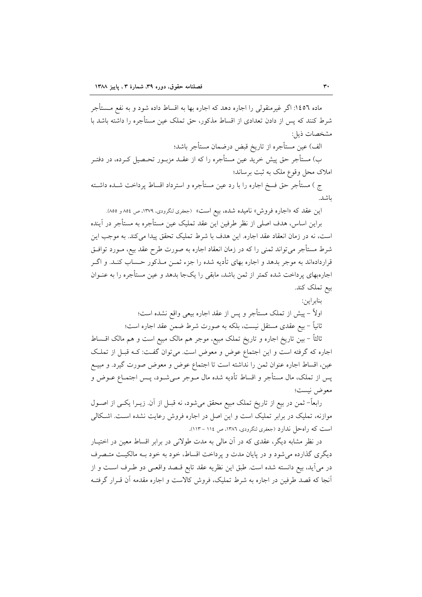ماده ١٤٥٦: اگر غیرمنقولی را اجاره دهد که اجاره بها به اقساط داده شود و به نفع مــستأجر شرط کنند که پس از دادن تعدادی از اقساط مذکور، حق تملک عین مستأجره را داشته باشد با مشخصات ذبل:

الف) عين مستأجره از تاريخ قبض درضمان مستأجر باشد؛

ب) مستأجر حق پیش خرید عین مستأجره را که از عقـد مزبـور تحـصیل کـرده، در دفتـر املاک محل وقوع ملک به ثبت برساند؛

ج ) مستأجر حق فسخ اجاره را با رد عین مستأجره و استرداد اقساط پرداخت شــده داشــته ىاشد.

این عقد که «اجاره فروش» نامیده شده، بیع است» (جعفری لنگرودی، ۱۳۷۹، ص ۸۵٤ و ۸۵۵).

براین اساس، هدف اصلی از نظر طرفین این عقد تملیک عین مستأجره به مستأجر در آینده است، نه در زمان انعقاد عقد اجاره. این هدف با شرط تملیک تحقق پیدا می کند. به موجب این شرط مستأجر میتواند ثمنی را که در زمان انعقاد اجاره به صورت طرح عقد بیع، مــورد توافــق قراردادهاند به موجر بدهد و اجاره بهای تأدیه شده را جزء ثمــن مــذکور حــساب کنــد. و اگــر اجارهبهای پرداخت شده کمتر از ثمن باشد، مابقی را یکجا بدهد و عین مستأجره را به عنــوان بیع تملک کند.

> بنابر اين: اولاً – پیش از تملک مستأجر و پس از عقد اجاره بیعی واقع نشده است؛ ثانياً – بيع عقدي مستقل نيست، بلكه به صورت شرط ضمن عقد اجاره است؛

ثالثاً – بین تاریخ اجاره و تاریخ تملک مبیع، موجر هم مالک مبیع است و هم مالک اقــساط اجاره که گرفته است و این اجتماع عوض و معوض است. میتوان گفت: کـه قبـل از تملـک عین، اقساط اجاره عنوان ثمن را نداشته است تا اجتماع عوض و معوض صورت گیرد. و مبیـع پس از تملک، مال مستأجر و اقساط تأدیه شده مال مـوجر مـیشـود، پـس اجتمـاع عــوض و معوض نيست؛

رابعاً- ثمن در بیع از تاریخ تملک مبیع محقق میشود، نه قبــل از آن. زیــرا یکــی از اصــول موازنه، تملیک در برابر تملیک است و این اصل در اجاره فروش رعایت نشده اسـت. اشـکالی است که راهحل ندارد (جعفری لنگرودی، ۱۳۸٦، ص ۱۱٤ - ۱۱۳).

در نظر مشابه دیگر، عقدی که در آن مالی به مدت طولانی در برابر اقساط معین در اختیـار دیگری گذارده می شود و در پایان مدت و پرداخت اقساط، خود به خود بـه مالکیـت متـصرف در می آید، بیع دانسته شده است. طبق این نظریه عقد تابع قـصد واقعـی دو طـرف اسـت و از أنجا كه قصد طرفين در اجاره به شرط تمليك، فروش كالاست و اجاره مقدمه أن قـرار گرفتـه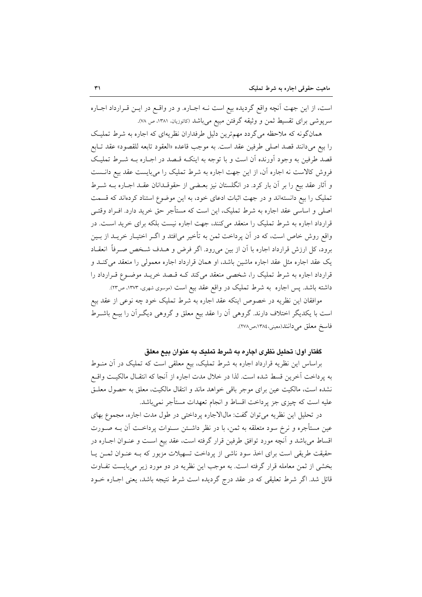است، از این جهت آنچه واقع گردیده بیع است نــه اجــاره. و در واقــع در ایــن قــرارداد اجــاره سرپوشی برای تقسیط ثمن و وثیقه گرفتن مبیع میباشد (کاتوزیان، ۱۳۸۱، ص ۷۸).

همانگونه که ملاحظه میگردد مهمترین دلیل طرفداران نظریهای که اجاره به شرط تملیک را بيع ميدانند قصد اصلي طرفين عقد است. به موجب قاعده «العقود تابعه للقصود» عقد تــابع قصد طرفین به وجود آورنده آن است و با توجه به اینکـه قـصد در اجـاره بـه شـرط تملیـک فروش كالاست نه اجاره آن، از اين جهت اجاره به شرط تمليك را ميبايست عقد بيع دانـست و آثار عقد بیع را بر آن بار کرد. در انگلستان نیز بعـضی از حقوقـدانان عقـد اجـاره بــه شــرط تملیک را بیع دانستهاند و در جهت اثبات ادعای خود، به این موضوع استناد کردهاند که قسمت اصلی و اساسی عقد اجاره به شرط تملیک، این است که مستأجر حق خرید دارد. افــراد وقتــی قرارداد اجاره به شرط تملیک را منعقد میکنند، جهت اجاره نیست بلکه برای خرید است. در واقع روش خاص است، که در اَن پرداخت ثمن به تأخیر می|فتد و اگـر اختیـار خریــد از بــین برود، كل ارزش قرارداد اجاره با أن از بين ميرود. اگر فرض و هــدف شـخص صــرفاً انعقــاد یک عقد اجاره مثل عقد اجاره ماشین باشد، او همان قرارداد اجاره معمولی را منعقد می کنـد و قرارداد اجاره به شرط تملیک را، شخصی منعقد میکند کـه قـصد خریـد موضـوع قـرارداد را داشته باشد. پس اجاره به شرط تملیک در واقع عقد بیع است (موسوی شهری، ۱۳۷۳، ص۳۳).

موافقان این نظریه در خصوص اینکه عقد اجاره به شرط تملیک خود چه نوعی از عقد بیع است با یکدیگر اختلاف دارند. گروهی آن را عقد بیع معلق و گروهی دیگـرآن را بیـع باشــرط فاسخ معلق مي دانند(معيني،١٣٨٤،ص٢٧٨).

#### گفتار اول: تحلیل نظری اجاره به شرط تملیک به عنوان بیع معلق

براساس این نظریه قرارداد اجاره به شرط تملیک، بیع معلقی است که تملیک در آن منـوط به پرداخت آخرین قسط شده است. لذا در خلال مدت اجاره از آنجا که انتقـال مالکیــت واقــع نشده است، مالکیت عین برای موجر باقی خواهد ماند و انتقال مالکیت، معلق به حصول معلـق عليه است كه چيزي جز يرداخت اقساط و انجام تعهدات مستأجر نمي باشد.

در تحلیل این نظریه می توان گفت: مالالاجاره پرداختی در طول مدت اجاره، مجموع بهای عین مستأجره و نرخ سود متعلقه به ثمن، با در نظر داشــتن ســنوات پرداخــت أن بــه صــورت اقساط میباشد و آنچه مورد توافق طرفین قرار گرفته است، عقد بیع است و عنــوان اجــاره در حقیقت طریقی است برای اخذ سود ناشی از پرداخت تسهیلات مزبور که بـه عنـوان ثمـن یـا بخشی از ثمن معامله قرار گرفته است. به موجب این نظریه در دو مورد زیر میبایست تفاوت قائل شد. اگر شرط تعلیقی که در عقد درج گردیده است شرط نتیجه باشد، یعنی اجباره خبود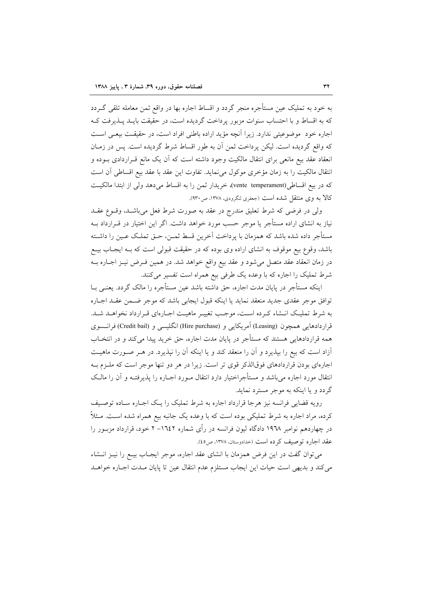به خود به تملیک عین مستأجره منجر گردد و اقساط اجاره بها در واقع ثمن معامله تلقی گـردد که به اقساط و با احتساب سنوات مزبور پرداخت گردیده است، در حقیقت بایـد پــذیرفت کـه اجاره خود موضوعيتي ندارد. زيرا آنچه مؤيد اراده باطني افراد است، در حقيقت بيعـي اسـت که واقع گردیده است. لیکن پرداخت ثمن آن به طور اقساط شرط گردیده است. پس در زمـان انعقاد عقد بیع مانعی برای انتقال مالکیت وجود داشته است که آن یک مانع قـراردادی بـوده و انتقال مالکیت را به زمان مؤخری موکول میiماید. تفاوت این عقد با عقد بیع اقساطی آن است كه در بيع اقساطي(vente temperament)، خريدار ثمن را به اقساط مي دهد ولي از ابتدا مالكيت کالا به وی منتقل شده است (جعفری لنگرودی، ۱۳۷۸، ص۹۳۰).

ولی در فرضی که شرط تعلیق مندرج در عقد به صورت شرط فعل میباشـد، وقـوع عقـد نیاز به انشای اراده مستأجر یا موجر حسب مورد خواهد داشت. اگر این اختیار در قــرارداد بــه مستأجر داده شده باشد که همزمان با یرداخت آخرین قسط ثمــن، حــق تملــک عــین را داشــته باشد، وقوع بیع موقوف به انشای اراده وی بوده که در حقیقت قبولی است که بــه ایجــاب بیــع در زمان انعقاد عقد متصل میشود و عقد بیع واقع خواهد شد. در همین فـرض نیــز اجــاره بــه شرط تملیک را اجاره که با وعده یک طرفی بیع همراه است تفسیر می کنند.

اینکه مستأجر در پایان مدت اجاره، حق داشته باشد عین مستأجره را مالک گردد. یعنــی بــا توافق موجر عقدي جديد منعقد نمايد يا اينكه قبول ايجابي باشد كه موجر ضـمن عقـد اجـاره به شرط تملیک انـشاء کـرده اسـت، موجـب تغییـر ماهیـت اجـارهای قـرارداد نخواهــد شــد. قراردادهایی همچون (Leasing) آمریکایی و (Hire purchase) انگلیسی و (Credit bail) فرانسوی همه قراردادهایی هستند که مستأجر در پایان مدت اجاره، حق خرید پیدا می کند و در انتخـاب آزاد است که بیع را بپذیرد و آن را منعقد کند و یا اینکه آن را نپذیرد. در هـر صـورت ماهیــت اجارهای بودن قراردادهای فوقالذکر قوی تر است. زیرا در هر دو تنها موجر است که ملـزم بـه انتقال مورد اجاره می باشد و مستأجراختیار دارد انتقال مـورد اجـاره را پذیرفتـه و آن را مالـک گردد و یا اینکه به موجر مسترد نماید.

رویه قضایی فرانسه نیز هرجا قرارداد اجاره به شرط تملیک را یـک اجـاره سـاده توصـیف کرده، مراد اجاره به شرط تملیکی بوده است که با وعده یک جانبه بیع همراه شده اسـت. مـثلاً در چهاردهم نوامبر ۱۹٦۸ دادگاه لیون فرانسه در رأی شماره ۱۹٤۲– ۲ خود، قرارداد مزبــور را عقد اجاره توصيف كرده است (خدادوستان، ١٣٧٨، ص٤٥).

می توان گفت در این فرض همزمان با انشای عقد اجاره، موجر ایجـاب بیــع را نیــز انــشاء می کند و بدیهی است حیات این ایجاب مستلزم عدم انتقال عین تا پایان مـدت اجـاره خواهـد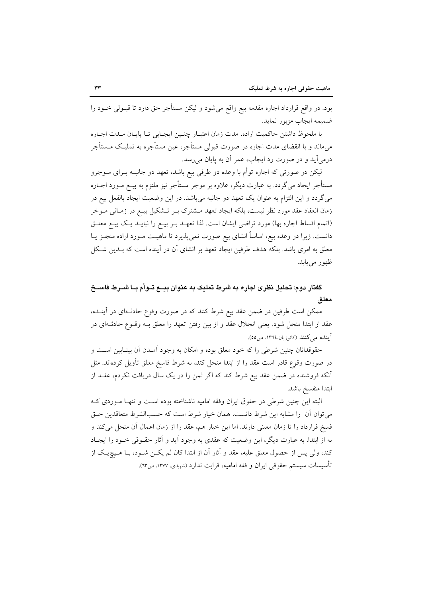بود. در واقع قرارداد اجاره مقدمه بیع واقع می شود و لیکن مستأجر حق دارد تا قبــولی خــود را ضميمه ايجاب مزبور نمايد.

با ملحوظ داشتن حاكميت اراده، مدت زمان اعتبـار چنـين ايجـابي تـا پايـان مـدت اجـاره میماند و با انقضای مدت اجاره در صورت قبولی مستأجر، عین مستأجره به تملیک مــستأجر درمي آيد و در صورت رد ايجاب، عمر آن به پايان مي رسد.

لیکن در صورتی که اجاره توأم با وعده دو طرفی بیع باشد، تعهد دو جانبـه بــرای مــوجرو مستأجر ایجاد میگردد. به عبارت دیگر، علاوه بر موجر مستأجر نیز ملتزم به بیـع مــورد اجــاره می گردد و این التزام به عنوان یک تعهد دو جانبه می باشد. در این وضعیت ایجاد بالفعل بیع در زمان انعقاد عقد مورد نظر نیست، بلکه ایجاد تعهد مــشترک بــر تــشکیل بیــع در زمــانـی مــوخر (اتمام اقساط اجاره بها) مورد تراضي ايشان است. لذا تعهـد بـر بيـع را نبايـد يـك بيـع معلـق دانست. زیرا در وعده بیع، اساساً انشای بیع صورت نمی پذیرد تا ماهیـت مـورد اراده منجـز پـا معلق به امری باشد. بلکه هدف طرفین ایجاد تعهد بر انشای آن در آینده است که بـدین شـکل ظھور مي يابد.

گفتار دوم: تحلیل نظری اجاره به شرط تملیک به عنوان بیــع تــوأم بــا شــرط فاســخ معلق

ممکن است طرفین در ضمن عقد بیع شرط کنند که در صورت وقوع حادثـهای در أینــده، عقد از ابتدا منحل شود. یعنی انحلال عقد و از بین رفتن تعهد را معلق بـه وقـوع حادثـهای در آينده مي كنند (كاتوزيان،١٣٦٤، ص٥٥).

حقوقدانان چنین شرطی را که خود معلق بوده و امکان به وجود آمـدن آن بینـابین اسـت و در صورت وقوع قادر است عقد را از ابتدا منحل کند، به شرط فاسخ معلق تأویل کردهاند. مثل آنکه فروشنده در ضمن عقد بیع شرط کند که اگر ثمن را در یک سال دریافت نکردم، عقــد از ابتدا منفسخ باشد.

البته این چنین شرطی در حقوق ایران وفقه امامیه ناشناخته بوده است و تنهـا مـوردی کـه می توان آن را مشابه این شرط دانست، همان خیار شرط است که حسبالشرط متعاقدین حـق فسخ قرارداد را تا زمان معینی دارند. اما این خیار هم، عقد را از زمان اعمال آن منحل می کند و نه از ابتدا. به عبارت دیگر، این وضعیت که عقدی به وجود آید و آثار حقـوقی خـود را ایجـاد كند، ولي پس از حصول معلق عليه، عقد و آثار آن از ابتدا كان لم يكـن شــود، بــا هــيچيــك از تأسيسات سيستم حقوقي ايران و فقه اماميه، قرابت ندارد (شهيدي، ١٣٧٧، ص٦٣).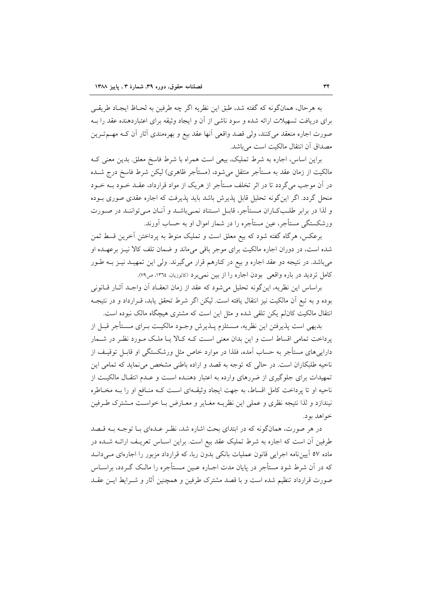به هرحال، همانگونه که گفته شد، طبق این نظریه اگر چه طرفین به لحـاظ ایجـاد طریقـی برای دریافت تسهیلات ارائه شده و سود ناشبی از آن و ایجاد وثیقه برای اعتباردهنده عقد را بـه صورت اجاره منعقد می کنند، ولی قصد واقعی آنها عقد بیع و بهرهمندی آثار آن کـه مهــمتـرین مصداق آن انتقال مالكيت است مي باشد.

براین اساس، اجاره به شرط تملیک، بیعی است همراه با شرط فاسخ معلق بدین معنی کـه مالکیت از زمان عقد به مستأجر منتقل میشود، (مستأجر ظاهری) لیکن شرط فاسخ درج شــده در آن موجب می گردد تا در اثر تخلف مستأجر از هریک از مواد قرارداد، عقـد خــود بــه خــود منحل گردد. اگر این گونه تحلیل قابل پذیرش باشد باید پذیرفت که اجاره عقدی صوری بـوده و لذا در برابر طلبکاران مــستأجر، قابـل اسـتناد نمـیباشــد و آنــان مـیتواننــد در صــورت ورشکستگی مستأجر، عین مستأجره را در شمار اموال او به حساب آورند.

برعکس، هرگاه گفته شود که بیع معلق است و تملیک منوط به پرداختن آخرین قسط ثمن شده است، در دوران اجاره مالکیت برای موجر باقی میماند و ضمان تلف کالا نیـز برعهـده او میباشد. در نتیجه دو عقد اجاره و بیع در کنارهم قرار میگیرند. ولی این تمهیـد نیـز بـه طـور كامل ترديد در باره واقعى بودن اجاره را از بين نمي برد (كاتوزيان، ١٣٦٤، ص٧٩).

براساس این نظریه، این گونه تحلیل میشود که عقد از زمان انعقـاد آن واجـد آثـار قـانونی بوده و به تبع آن مالکیت نیز انتقال یافته است. لیکن اگر شرط تحقق یابد، قــرارداد و در نتیجــه انتقال مالکیت کانالم یکن تلقی شده و مثل این است که مشتری هیچگاه مالک نبوده است.

بدیهی است پذیرفتن این نظریه، مــستلزم پــذیرش وجــود مالکیــت بــرای مــستأجر قبــل از پرداخت تمامی اقساط است و این بدان معنی است کـه کـالا یـا ملـک مـورد نظـر در شـمار داراییهای مستأجر به حساب آمده، فلذا در موارد خاص مثل ورشکستگی او قابـل توقیـف از ناحیه طلبکاران است. در حالی که توجه به قصد و اراده باطنی مشخص می نماید که تمامی این تمهیدات برای جلوگیری از ضررهای وارده به اعتبار دهنـده اسـت و عـدم انتقـال مالکیـت از ناحیه او تا پرداخت کامل اقساط، به جهت ایجاد وثیقهای است کـه منـافع او را بـه مخـاطره نیندازد و لذا نتیجه نظری و عملی این نظریــه مغـایر و معــارض بــا خواســت مــشترک طــرفین خواهد بود.

در هر صورت، همانگونه که در ابتدای بحث اشاره شد، نظـر عـدهای بـا توجـه بـه قــصد طرفین آن است که اجاره به شرط تملیک عقد بیع است. براین اسـاس تعریـف ارائـه شـده در ماده ٥٧ آيين نامه اجرايي قانون عمليات بانكي بدون ربا، كه قرارداد مزبور را اجارهاي مـي دانــد که در آن شرط شود مستأجر در پایان مدت اجـاره عـین مـستأجره را مالـک گـردد، براسـاس صورت قرارداد تنظیم شده است و با قصد مشترک طرفین و همچنین آثار و شـرایط ایـن عقـد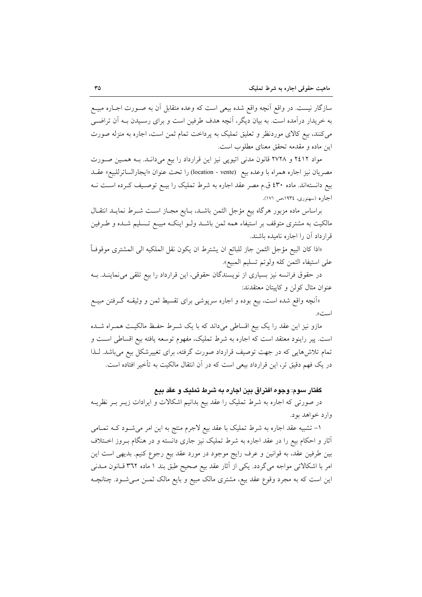سازگار نیست. در واقع اّنچه واقع شده بیعی است که وعده متقابل اّن به صـورت اجــاره مبیــع به خریدار درآمده است. به بیان دیگر، آنچه هدف طرفین است و برای رسـیدن بــه آن تراضــی می کنند، بیع کالای موردنظر و تعلیق تملیک به پرداخت تمام ثمن است، اجاره به منزله صورت این ماده و مقدمه تحقق معنای مطلوب است.

مواد ٢٤١٢ و ٢٧٢٨ قانون مدنى اتيويى نيز اين قرارداد را بيع مىدانـد. بـه همـين صـورت مصريان نيز اجاره همراه با وعده بيع (location - vente) را تحت عنوان «ايجارالساترللبيع» عقــد بیع دانستهاند. ماده ٤٣٠ ق.م مصر عقد اجاره به شرط تمليک را بيـع توصـيف كـرده اسـت نــه اجاره (سهنوري، ۱۹۳٤،ص ۱۷۱).

براساس ماده مزبور هرگاه بيع مؤجل الثمن باشـد، بـايع مجـاز اسـت شـرط نمايـد انتقـال مالکیت به مشتری متوقف بر استیفاء همه ثمن باشـد ولـو اینکـه مبیـع تـسلیم شـده و طـرفین قرار داد آن را اجاره نامیده باشند.

«اذا كان البيع مؤجل الثمن جاز للبائع ان يشترط ان يكون نقل الملكيه الى المشترى موقوفـاً ّ على استيفاء الثمن كله ولوتم تسليم المبيع».

در حقوق فرانسه نیز بسیاری از نویسندگان حقوقی، این قرارداد را بیع تلقی میiماینــد. بــه عنوان مثال كولن و كاييتان معتقدند:

«اَنچه واقع شده است، بیع بوده و اجاره سرپوشی برای تقسیط ثمن و وثیقـه گـرفتن مبیــع است».

مازو نیز این عقد را یک بیع اقساطی میداند که با یک شــرط حفـظ مالکیــت هـمــراه شــده است. پیر راینود معتقد است که اجاره به شرط تملیک، مفهوم توسعه یافته بیع اقساطی است و تمام تلاشهایی که در جهت توصیف قرارداد صورت گرفته، برای تغییرشکل بیع میباشد. لـذا در یک فهم دقیق تر، این قرارداد بیعی است که در آن انتقال مالکیت به تأخیر افتاده است.

### گفتار سوم: وجوه افتراق بين اجاره به شرط تمليک و عقد بيع

در صورتی که اجاره به شرط تملیک را عقد بیع بدانیم اشکالات و ایرادات زیــر بــر نظریــه وارد خواهد بود.

۱– تشبیه عقد اجاره به شرط تملیک با عقد بیع لاجرم منتج به این امر میشود کـه تمـامی أثار و احکام بیع را در عقد اجاره به شرط تملیک نیز جاری دانسته و در هنگام بـروز اخـتلاف بین طرفین عقد، به قوانین و عرف رایج موجود در مورد عقد بیع رجوع کنیم. بدیهی است این امر با اشکالاتی مواجه میگردد. یکی از آثار عقد بیع صحیح طبق بند ۱ ماده ۳٦٢ قـانون مــدنی این است که به مجرد وقوع عقد بیع، مشتری مالک مبیع و بایع مالک ثمـن مـیشــود. چنانچــه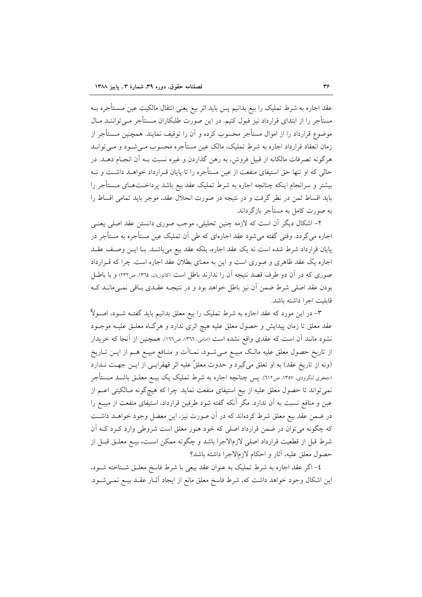عقد اجاره به شرط تمليک را بيع بدانيم پس بايد اثر بيع يعني انتقال مالکيت عين مــستأجره بــه مستأجر را از ابتدای قرارداد نیز قبول کنیم. در این صورت طلبکاران مـستأجر مـیتواننــد مــال موضوع قرارداد را از اموال مستأجر محسوب کرده و آن را توقیف نمایند. همچنین مــستأجر از زمان انعقاد قرارداد اجاره به شرط تملیک، مالک عین مستأجره محسوب مـیشـود و مـیتوانــد هرگونه تصرفات مالکانه از قبیل فروش، به رهن گذاردن و غیره نسبت بـه آن انجـام دهــد. در حالی که او تنها حق استیفای منفعت از عین مستأجره را تا پایان قــرارداد خواهــد داشــت و نــه بیشتر و سرانجام اینکه چنانچه اجاره به شرط تملیک عقد بیع باشد پرداخــتهــای مــستأجر را بايد اقساط ثمن در نظر گرفت و در نتيجه در صورت انحلال عقد، موجر بايد تمامي اقساط را به صورت کامل به مستأجر بازگر داند.

۲– اشکال دیگر اّن است که لازمه چنین تحلیلی، موجب صوری دانستن عقد اصلی یعنـی اجاره می گردد. وقتی گفته می شود عقد اجارهای که طی آن تملیک عین مستأجره به مستأجر در پایان قرارداد شرط شده است نه یک عقد اجاره، بلکه عقد بیع میباشـد. بـا ایــن وصـف عقــد اجاره یک عقد ظاهری و صوری است و این به معنای بطلان عقد اجاره است. چرا که قـرارداد صوری که در آن دو طرف قصد نتیجه آن را ندارند باطل است (کاتوزیان، ۱۳۱۶، ص۳۲۲) و با باطـل بودن عقد اصلی شرط ضمن آن نیز باطل خواهد بود و در نتیجـه عقـدی بـاقی نمـیمانــد کـه قابليت اجرا داشته باشد.

۳– در این مورد که عقد اجاره به شرط تملیک را بیع معلق بدانیم باید گفتـه شــود، اصــولاً عقد معلق تا زمان پیدایش و حصول معلق علیه هیچ اثری ندارد و هرگـاه معلــق علیــه موجــود نشود مانند آن است که عقدی واقع نشده است (امامی، ١٣٦٦، ص١٦٦). همچنین از آنجا که خریدار از تاریخ حصول معلق علیه مالک مبیــع مــیشــود، نمــااَت و منــافع مبیــع هــم از ایــن تــاریخ (ونه از تاريخ عقد) به او تعلق مي گيرد و حدوث معلقٌ عليه اثر قهقرايـي از ايــن جهــت نــدارد (جعفری لنگرودی، ۱۳۵۷، ص۱۱۲). پس چنانچه اجاره به شرط تملیک یک بیــع معلــق باشــد مــستأجر نمی تواند تا حصول معلق علیه از بیع استیفای منفعت نماید. چرا که هیچ گونه مـالکیتی اعــم از عین و منافع نسبت به آن ندارد. مگر آنکه گفته شود طرفین قرارداد، استیفای منفعت از مبیــع را در ضمن عقد بیع معلق شرط کردهاند که در آن صورت نیز، این معضل وجود خواهـد داشـت که چگونه می توان در ضمن قرارداد اصلی که خود هنوز معلق است شروطی وارد کـرد کــه آن شرط قبل از قطعیت قرارداد اصلی لازمالاجرا باشد و چگونه ممکن اسـت، بیــع معلــق قبــل از حصول معلق عليه، آثار و احكام لازمالاجرا داشته باشد؟

٤– اگر عقد اجاره به شرط تمليک به عنوان عقد بيعي با شرط فاسخ معلـق شــناخته شــود، این اشکال وجود خواهد داشت که، شرط فاسخ معلق مانع از ایجاد أثـار عقـد بیـع نمــیشــود.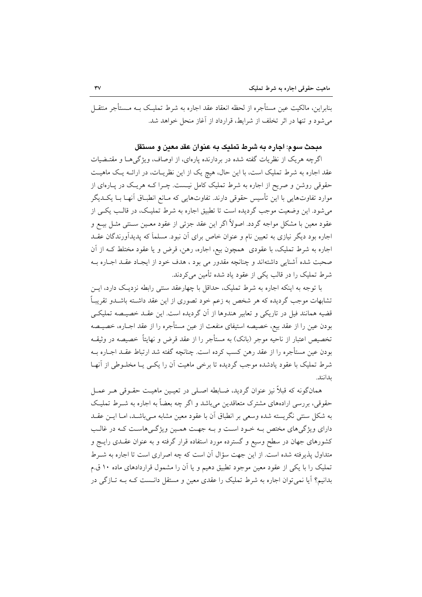بنابراین، مالکیت عین مستأجره از لحظه انعقاد عقد اجاره به شرط تملیک بــه مــستأجر منتقــل می شود و تنها در اثر تخلف از شرایط، قرارداد از آغاز منحل خواهد شد.

#### مبحث سوم: اجاره به شرط تملیک به عنوان عقد معین و مستقل

اگرچه هر یک از نظریات گفته شده در بردارنده پارهای، از اوصاف، ویژگی هــا و مقتــضیات عقد اجاره به شرط تملیک است، با این حال، هیچ یک از این نظریـات، در ارائـه یـک ماهیـت حقوقی روشن و صریح از اجاره به شرط تملیک کامل نیست. چـرا کـه هریـک در پـارهای از موارد تفاوتهایی با این تأسیس حقوقی دارند. تفاوتهایی که مـانع انطبـاق آنهـا بــا یکــدیگر می شود. این وضعیت موجب گردیده است تا تطبیق اجاره به شرط تملیک، در قالب یکبی از عقود معین با مشکل مواجه گردد. اصولاً اگر این عقد جزئی از عقود معـین سـنتی مثـل بیــع و اجاره بود دیگر نیازی به تعیین نام و عنوان خاص برای آن نبود. مسلماً که پدیدآورندگان عقــد اجاره به شرط تملیک، با عقودی ً همچون بیع، اجاره، رهن، قرض و یا عقود مختلط کـه از آن صحبت شده آشنایی داشتهاند و چنانچه مقدور می بود ، هدف خود از ایجـاد عقـد اجـاره بـه شرط تملیک را در قالب یکی از عقود یاد شده تأمین می کردند.

با توجه به اینکه اجاره به شرط تملیک، حداقل با چهارعقد سنتی رابطه نزدیک دارد، ایس تشابهات موجب گردیده که هر شخص به زعم خود تصوری از این عقد داشـته باشــدو تقریبـاً قضیه همانند فیل در تاریکی و تعابیر هندوها از آن گردیده است. این عقـد خصیـصه تملیکـی بودن عین را از عقد بیع، خصیصه استیفای منفعت از عین مستأجره را از عقد اجــاره، خصیــصه تخصیص اعتبار از ناحیه موجر (بانک) به مستأجر را از عقد قرض و نهایتاً خصیصه در وثیقـه بودن عین مستأجره را از عقد رهن کسب کرده است. چنانچه گفته شد ارتباط عقــد اجــاره بــه شرط تملیک با عقود یادشده موجب گردیده تا برخی ماهیت آن را یکسی یـا مخلـوطی از آنهـا ىدانند.

همانگونه که قبلاً نیز عنوان گردید، ضـابطه اصـلی در تعیـین ماهیـت حقـوقی هــر عمــل حقوقي، بررسي ارادههاي مشترک متعاقدين مي باشد و اگر چه بعضاً به اجاره به شـرط تمليـک به شکل سنتی نگریسته شده وسعی بر انطباق آن با عقود معین مشابه مـی باشــد، امــا ایــن عقــد دارای ویژگیهای مختص بـه خـود اسـت و بـه جهـت همـین ویژگـیهاسـت کـه در غالـب کشورهای جهان در سطح وسیع و گسترده مورد استفاده قرار گرفته و به عنوان عقــدی رایــج و متداول پذیرفته شده است. از این جهت سؤال آن است که چه اصراری است تا اجاره به شـرط تملیک را با یکی از عقود معین موجود تطبیق دهیم و یا آن را مشمول قراردادهای ماده ۱۰ ق.م بدانیم؟ آیا نمی توان اجاره به شرط تملیک را عقدی معین و مستقل دانـست کـه بـه تــازگی در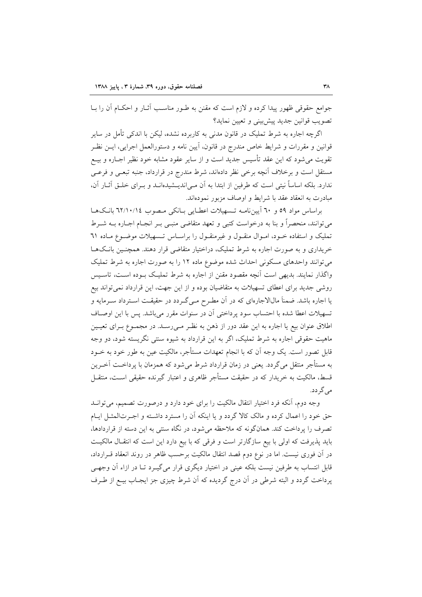جوامع حقوقی ظهور پیدا کرده و لازم است که مقنن به طـور مناسـب آثـار و احکـام آن را بــا تصويب قوانين جديد پيش بيني و تعيين نمايد؟

اگرچه اجاره به شرط تملیک در قانون مدنی به کاربرده نشده، لیکن با اندکی تأمل در سایر قوانین و مقررات و شرایط خاص مندرج در قانون، آیین نامه و دستورالعمل اجرایی، ایـن نظـر تقویت میشود که این عقد تأسیس جدید است و از سایر عقود مشابه خود نظیر اجــاره و بیــع مستقل است و برخلاف أنچه برخی نظر دادهاند، شرط مندرج در قرارداد، جنبه تبعـی و فرعـی ندارد. بلکه اساساً نیتی است که طرفین از ابتدا به آن مـی|ندیــشیدهانــد و بــرای خلــق آثــار آن، مبادرت به انعقاد عقد با شرايط و اوصاف مزبور نمودهاند.

براساس مواد ٥٩ و ٦٠ أيين نامـه تـسهيلات اعطـايي بـانكي مـصوب ١٢/١٠/١٤ بانكهـا می توانند، منحصراً و بنا به درخواست کتبی و تعهد متقاضی منبـی بـر انجـام اجـاره بــه شــرط تملیک و استفاده خـود، امـوال منقـول و غیرمنقـول را براسـاس تـسهیلات موضـوع مـاده ٦١ خریداری و به صورت اجاره به شرط تملیک، دراختیار متقاضی قرار دهند. همچنـین بانـکهـا می توانند واحدهای مسکونی احداث شده موضوع ماده ۱۲ را به صورت اجاره به شرط تملیک واگذار نمایند. بدیهی است آنچه مقصود مقنن از اجاره به شرط تملیک بـوده اسـت، تاسـیس روشی جدید برای اعطای تسهیلات به متقاضیان بوده و از این جهت، این قرارداد نمی تواند بیع یا اجاره باشد. ضمناً مالالاجارهای که در آن مطـرح مـیگـردد در حقیقـت اسـترداد سـرمایه و تسهیلات اعطا شده با احتساب سود پرداختی آن در سنوات مقرر میباشد. پس با این اوصـاف اطلاق عنوان بیع یا اجاره به این عقد دور از ذهن به نظـر مـیرسـد. در مجمـوع بـرای تعیـین ماهیت حقوقی اجاره به شرط تملیک، اگر به این قرارداد به شیوه سنتی نگریسته شود، دو وجه قابل تصور است. یک وجه اَن که با انجام تعهدات مستأجر، مالکیت عین به طور خود به خــود به مستأجر منتقل میگردد. یعنی در زمان قرارداد شرط می شود که همزمان با پرداخت آخـرین قسط، مالکیت به خریدار که در حقیقت مستأجر ظاهری و اعتبار گیرنده حقیقی اسـت، منتقــل مے گے دد.

وجه دوم، آنکه فرد اختیار انتقال مالکیت را برای خود دارد و درصورت تصمیم، می توانـد حق خود را اعمال کرده و مالک کالا گردد و یا اینکه آن را مسترد داشته و اجبرتالمثیل اییام تصرف را پرداخت کند. همانگونه که ملاحظه می شود، در نگاه سنتی به این دسته از قراردادها، باید پذیرفت که اولی با بیع سازگارتر است و فرقی که با بیع دارد این است که انتقـال مالکیـت در آن فوری نیست. اما در نوع دوم قصد انتقال مالکیت برحسب ظاهر در روند انعقاد قـرارداد، قابل انتساب به طرفین نیست بلکه عینی در اختیار دیگری قرار می گیـرد تــا در ازاء آن وجهـی پرداخت گردد و البته شرطی در آن درج گردیده که آن شرط چیزی جز ایجـاب بیـع از طـرف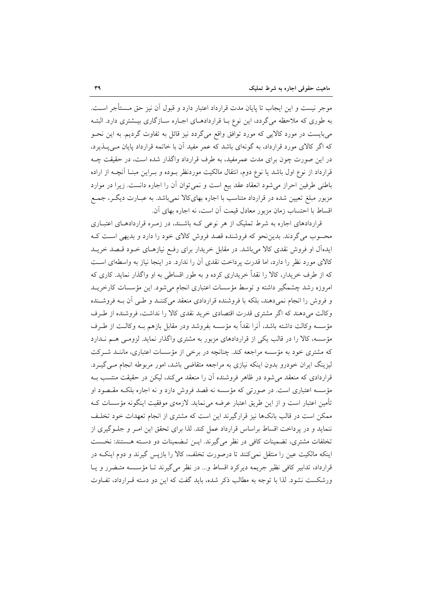موجر نیست و این ایجاب تا پایان مدت قرارداد اعتبار دارد و قبول اَن نیز حق مــستأجر اســت. به طوری که ملاحظه میگردد، این نوع بـا قراردادهـای اجـاره سـازگاری بیــشتری دارد. البتــه میبایست در مورد کالایی که مورد توافق واقع میگردد نیز قائل به تفاوت گردیم. به این نحـو که اگر کالای مورد قرارداد، به گونهای باشد که عمر مفید آن با خاتمه قرارداد پایان مے پـذیرد، در این صورت چون برای مدت عمرمفید، به طرف قرارداد واگذار شده است، در حقیقت چــه قرارداد از نوع اول باشد یا نوع دوم، انتقال مالکیت موردنظر بــوده و بــراین مبنــا آنچــه از اراده باطنی طرفین احراز میشود انعقاد عقد بیع است و نمی توان آن را اجاره دانست. زیرا در موارد مزبور مبلغ تعیین شده در قرارداد متناسب با اجاره بهایکالا نمیباشد. به عبـارت دیگـر، جمـع اقساط با احتساب زمان مزبور معادل قیمت آن است، نه اجاره بهای آن.

قراردادهای اجاره به شرط تملیک از هر نوعی کـه باشـند، در زمـره قراردادهـای اعتبـاری محسوب می گردند. بدین نحو که فروشنده قصد فروش کالای خود را دارد و بدیهی است ک ایدهأل او فروش نقدی کالا میباشد. در مقابل خریدار برای رفـع نیازهـای خــود قــصد خریــد کالای مورد نظر را دارد، اما قدرت پرداخت نقدی آن را ندارد. در اینجا نیاز به واسطهای است که از طرف خریدار، کالا را نقداً خریداری کرده و به طور اقساطی به او واگذار نماید. کاری که امروزه رشد چشمگیر داشته و توسط مؤسسات اعتباری انجام می شود. این مؤسسات کارخریــد و فروش را انجام نمی دهند، بلکه با فروشنده قراردادی منعقد می کننـد و طـی آن بـه فروشـنده وكالت مى دهند كه اگر مشترى قدرت اقتصادى خريد نقدى كالا را نداشت، فروشنده از طرف مؤسسه وكالت داشته باشد، آنرا نقداً به مؤسسه بفروشد ودر مقابل بازهم بــه وكالــت از طــرف مؤسسه، کالا را در قالب یکی از قراردادهای مزبور به مشتری واگذار نماید. لزومـی هـم نــدارد که مشتری خود به مؤسسه مراجعه کند. چنانچه در برخی از مؤسسات اعتباری، ماننـد شـرکت لیزینگ ایران خودرو بدون اینکه نیازی به مراجعه متقاضی باشد، امور مربوطه انجام مـی گیـرد. قراردادی که منعقد می شود در ظاهر فروشنده آن را منعقد می کند، لیکن در حقیقت منتسب بـه مؤسسه اعتباری است. در صورتی که مؤسسه نه قصد فروش دارد و نه اجاره بلکـه مقـصود او تأمین اعتبار است و از این طریق اعتبار عرضه می نماید. لازمهی موفقیت اینگونه مؤسسات ک ممکن است در قالب بانکها نیز قرارگیرند این است که مشتری از انجام تعهدات خود تخلـف ننماید و در پرداخت اقساط براساس قرارداد عمل کند. لذا برای تحقق این امـر و جلــوگیری از تخلفات مشتری، تضمینات کافی در نظر می گیرند. این تنضمینات دو دسته هستند: نخست اینکه مالکیت عین را منتقل نمی کنند تا درصورت تخلف، کالا را بازیس گیرند و دوم اینکـه در قرارداد، تدابیر کافی نظیر جریمه دیرکرد اقساط و… در نظر میگیرند تـا مؤسـسه متـضرر و یـا ورشکست نشود. لذا با توجه به مطالب ذکر شده، باید گفت که این دو دسته قـرارداد، تفـاوت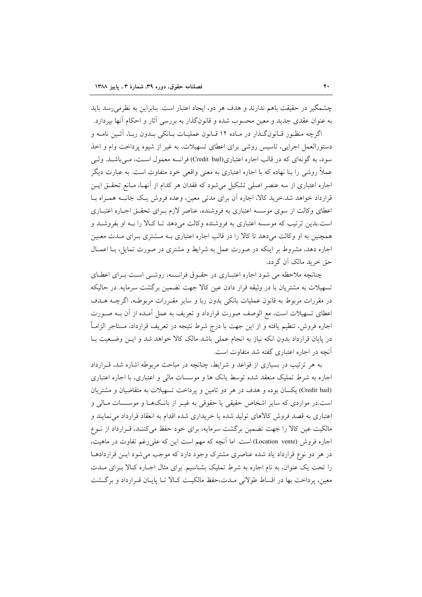چشمگیر در حقیقت باهم ندارند و هدف هر دو، ایجاد اعتبار است. بنابراین به نظرمی رسد باید به عنوان عقدي جديد و معين محسوب شده و قانونگذار به بررسي آثار و احکام آنها بيردازد.

اگرچه منظـور قـانونگـذار در مـاده ١٢ قـانون عمليـات بـانكي بـدون ربـا، آئـين نامـه و دستورالعمل اجرایی، تاسیس روشی برای اعطای تسهیلات، به غیر از شیوه پرداخت وام و اخذ سود، به گونهای که در قالب اجاره اعتباری(Credit bail) فرانسه معمول است، مـی باشـد. ولـی عملاً روشی را بنا نهاده که با اجاره اعتباری به معنی واقعی خود متفاوت است. به عبارت دیگر اجاره اعتباری از سه عنصر اصلی تشکیل می شود که فقدان هر کدام از آنهـا، مـانع تحقــق ایــن قرارداد خواهد شد.خرید کالا، اجاره آن برای مدتی معین، وعده فروش یک جانبـه همـراه بــا اعطای وکالت از سوی موسسه اعتباری به فروشنده، عناصر لازم بـرای تحقـق اجـاره اعتبـاری است.بدین ترتیب که موسسه اعتباری به فروشنده وکالت می دهد تـا کـالا را بـه او بفروشـد و همچنین به او وکالت می دهد تا کالا را در قالب اجاره اعتباری بـه مــشتری بــرای مــدت معــین اجاره دهد، مشروط بر اینکه در صورت عمل به شرایط و مشتری در صورت تمایل، بـا اعمـال حق خرید مالک اَن گردد.

چنانچه ملاحظه می شود اجاره اعتبـاری در حقـوق فرانـسه، روشـی اسـت بـرای اعطـای تسهیلات به مشتریان با در وثیقه قرار دادن عین کالا جهت تضمین برگشت سرمایه. در حالیکه در مقررات مربوط به قانون عملیات بانکی بدون ربا و سایر مقـررات مربوطـه، اگرچــه هــدف اعطای تسهیلات است، مع الوصف صورت قرارداد و تعریف به عمل آمـده از آن بــه صــورت اجاره فروش، تنظیم یافته و از این جهت با درج شرط نتیجه در تعریف قرارداد، مستاجر الزامــاً در پایان قرارداد بدون انکه نیاز به انجام عملی باشد مالک کالا خواهد شد و ایـن وضـعیت بـا آنچه در اجاره اعتباری گفته شد متفاوت است.

به هر ترتیب در بسیاری از قواعد و شرایط، چنانچه در مباحث مربوطه اشاره شد، قـرارداد اجاره به شرط تملیک منعقد شده توسط بانک ها و موسسات مالی و اعتباری، با اجاره اعتباری (Credit bail) یکسان بوده و هدف در هر دو تامین و پرداخت تسهیلات به متقاضیان و مشتریان است.در مواردی که سایر اشخاص حقیقی یا حقوقی به غیـر از بانـکهـا و موسـسات مـالی و اعتباری به قصد فروش کالاهای تولید شده یا خریداری شده اقدام به انعقاد قرارداد می نمایند و مالکیت عین کالا را جهت تضمین برگشت سرمایه، برای خود حفظ می کننـد، قـرارداد از نــوع اجاره فروش (Location vente) است. اما آنچه که مهم است این که علی(غم تفاوت در ماهیت، در هر دو نوع قرارداد یاد شده عناصری مشترک وجود دارد که موجب می شود ایــن قراردادهــا را تحت یک عنوان، به نام اجاره به شرط تملیک بشناسیم. برای مثال اجـاره کـالا بـرای مـدت معین، یرداخت بها در اقساط طولانی مـدت،حفظ مالکیـت کـالا تـا پایـان قـرارداد و برگـشت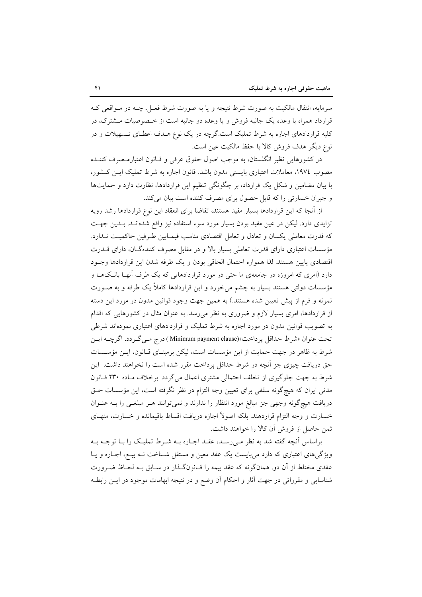سرمایه، انتقال مالکیت به صورت شرط نتیجه و یا به صورت شرط فعـل، چــه در مــواقعی کــه قرارداد همراه با وعده یک جانبه فروش و یا وعده دو جانبه است از خـصوصیات مــشترک، در کلیه قراردادهای اجاره به شرط تملیک است.گرچه در یک نوع هـدف اعطـای تـسهیلات و در نوع ديگر هدف فروش كالا با حفظ مالكيت عين است.

در كشورهايي نظير انگلستان، به موجب اصول حقوق عرفي و قـانون اعتبارمـصرف كننــده مصوب ١٩٧٤، معاملات اعتبارى بايستى مدون باشد. قانون اجاره به شرط تمليک ايـن كـشور، با بیان مضامین و شکل یک قرارداد، بر چگونگی تنظیم این قراردادها، نظارت دارد و حمایتها و جبران خسارتی را که قابل حصول برای مصرف کننده است بیان می کند.

از آنجا که این قراردادها بسیار مفید هستند، تقاضا برای انعقاد این نوع قراردادها رشد روبه تزایدی دارد. لیکن در عین مفید بودن بسیار مورد سوء استفاده نیز واقع شدهانـد. بـدین جهـت كه قدرت معاملي يكسان و تعادل و تعامل اقتصادي مناسب فيمـابين طـرفين حاكميـت نــدارد. مؤسسات اعتباری دارای قدرت تعاملی بسیار بالا و در مقابل مصرف کنندهگـان، دارای قــدرت اقتصادي پايين هستند. لذا همواره احتمال الحاقي بودن و يک طرفه شدن اين قراردادها وجـود دارد (امری که امروزه در جامعهی ما حتی در مورد قراردادهایی که یک طرف آنهـا بانــکـهــا و مؤسسات دولتی هستند بسیار به چشم میخورد و این قراردادها کاملاً یک طرفه و به صـورت نمونه و فرم از پیش تعیین شده هستند.) به همین جهت وجود قوانین مدون در مورد این دسته از قراردادها، امری بسیار لازم و ضروری به نظر می رسد. به عنوان مثال در کشورهایی که اقدام به تصویب قوانین مدون در مورد اجاره به شرط تملیک و قراردادهای اعتباری نمودهاند شرطی تحت عنوان «شرط حداقل يرداخت»(Minimum payment clause) درج مـي گـردد. اگرچــه ايـن شرط به ظاهر در جهت حمایت از این مؤسسات است، لیکن برمبنـای قــانون، ایــن مؤســسات حق دریافت چیزی جز آنچه در شرط حداقل پرداخت مقرر شده است را نخواهند داشت. این شرط به جهت جلوگیری از تخلف احتمالی مشتری اعمال میگردد. برخلاف مـاده ۲۳۰ قـانون مدنی ایران که هیچگونه سقفی برای تعیین وجه التزام در نظر نگرفته است، این مؤسسات حـق دریافت هیچگونه وجهی جز مبالغ مورد انتظار را ندارند و نمی توانند هـر مبلغـی را بــه عنــوان خسارت و وجه التزام قراردهند. بلكه اصولاً اجازه دريافت اقساط باقيمانده و خسارت، منهـاي ثمن حاصل از فروش آن كالا را خواهند داشت.

براساس آنچه گفته شد به نظر میررسـد، عقـد اجـاره بـه شـرط تمليـک را بـا توجـه بـه ویژگیهای اعتباری که دارد میبایست یک عقد معین و مستقل شـناخت نـه بیـع، اجـاره و یـا عقدی مختلط از آن دو. همانگونه که عقد بیمه را قـانونگـذار در سـابق بـه لحـاظ ضـرورت شناسایی و مقرراتی در جهت آثار و احکام آن وضع و در نتیجه ابهامات موجود در ایــن رابطــه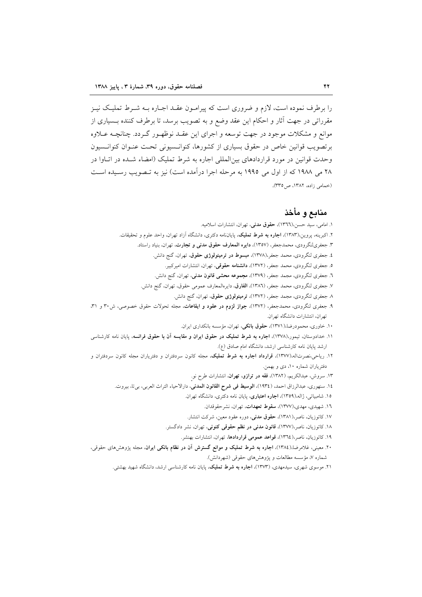را برطرف نموده است، لازم و ضروری است که پیرامـون عقـد اجـاره بـه شـرط تملیـک نیـز مقرراتی در جهت آثار و احکام این عقد وضع و به تصویب برسد، تا برطرف کننده بــسیاری از موانع و مشکلات موجود در جهت توسعه و اجرای این عقـد نوظهـور گـردد. چنانچــه عــلاوه برتصويب قوانين خاص در حقوق بسياري از كشورها، كنوانـسيوني تحـت عنـوان كنوانـسيون وحدت قوانین در مورد قراردادهای بینالمللی اجاره به شرط تملیک (امضاء شـده در اتـاوا در ۲۸ می ۱۹۸۸ که از اول می ۱۹۹۵ به مرحله اجرا درآمده است) نیز به تـصویب رسـیده اسـت (خمامی زاده، ۱۳۸۲، ص (۳۳).

## منابع و مأخذ

١. امامي، سيد حسن،(١٣٦٦)، حقوق مدنى، تهران، انتشارات اسلاميه. ۲. اکبرینه، پروین،(۱۳۸۳)، **اجاره به شرط تملیک**، پایاننامه دکتری، دانشگاه آزاد تهران، واحد علوم و تحقیقات. ۳. جعفریلنگرودی، محمدجعفر، (۱۳۵۷)، **دایره المعارف حقوق مدنی و تجارت**، تهران، بنیاد راستاد. ٤. جعفري لنگرودي، محمد جعفر،(١٣٧٨)، مبسوط در ترمينولوژي حقوق، تهران، گنج دانش. ٥. جعفري لنگرودي، محمد جعفر، (١٣٧٢)، دانشنامه حقوقي، تهران، انتشارات اميركبير. ٦. جعفری لنگرودی، مجمد جعفر، (١٣٧٩)، **مجموعه محشی قانون مدنی**، تهران، گنج دانش. ٧. جعفري لنگرودي، محمد جعفر، (١٣٨٦)، الفارق، دايرهالمعارف عمومي حقوق، تهران، گنج دانش. ٨ جعفري لنگرودي، مجمد جعفر، (١٣٧٢)، ترمينولوژي حقوق، تهران، گنج دانش. ۹. جعفری لنگرودی، محمدجعفر، (۱۳۷۲)، جواز لزوم در عقود و ایقاعات، مجله تحولات حقوق خصوصی، ش۳۰ و ۳۱، تهران، انتشارات دانشگاه تهران. ۱۰. خاوری، محمودرضا،(۱۳۷۱)، حقوق بانکی، تهران، مؤسسه بانکداری ایران. ۱۱. خدادوستان، تیمور،(۱۳۷۸)، اجاره به شرط تملیک در حقوق ایران و مقایسه آن با حقوق فرانسه، پایان نامه کارشناسی ارشد پایان نامه کارشناسی ارشد، دانشگاه امام صادق (ع). ۱۲. ریاحی،نصرتاله،(۱۳۷۷)، قرارداد اجاره به شرط تملیک، مجله کانون سردفتران و دفتریاران مجله کانون سردفتران و دفتریاران شماره ۱۰، دی و بهمن. ۱۳. سروش، عبدالکریم، (۱۳۸۲)، فقه در ترازو، تهران، انتشارات طرح نو. ١٤. سنهوري، عبدالرزاق احمد، (١٩٣٤)، ا**لوسيط في شرح القانون المدني**، دارالاحياء التراث العربي، بي تا، بيروت. ۱۵. شامبیاتی، ژاله،(۱۳۵۹)، **اجاره اعتباری**، پایان نامه دکتری، دانشگاه تهران. ۱٦. شهیدی، مهدی،(۱۳۷۷)، **سقوط تعهدات**، تهران، نشرحقوقدان. ١٧. كاتوزيان، ناصر،(١٣٨١)، حقوق مدنى، دوره عقود معين، شركت انتشار. ۱۸. کاتوزیان، ناصر،(۱۳۷۷)، قانون مدنی در نظم حقوقی کنونی، تهران، نشر دادگستر. ١٩. كاتوزيان، ناصر،(١٣٦٤)، قواعد عمومي قراردادها، تهران، انتشارات بهنشر. ۲۰. معینی، غلامرضا،(١٣٨٤)، ا<mark>جاره به شرط تملیک و موانع گسترش آن در نظام بانکی ایران</mark>، مجله پژوهشهای حقوقی، شماره ۷، مؤسسه مطالعات و پژوهشهای حقوقی (شهردانش).

۲۱. موسوی شهری، سیدمهدی، (۱۳۷۳)، **اجاره به شرط تملیک**، پایان نامه کارشناسی ارشد، دانشگاه شهید بهشتی.